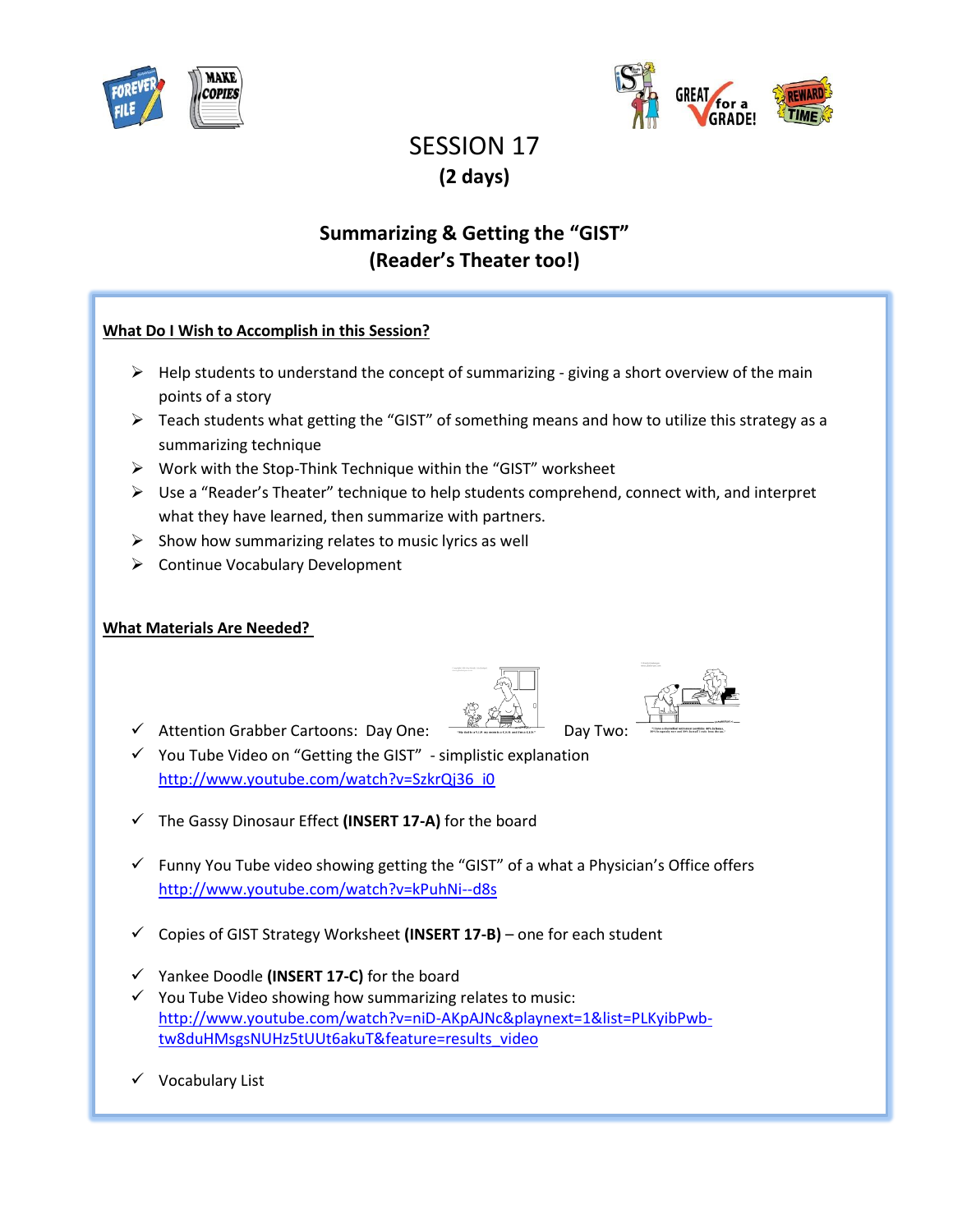



# SESSION 17 **(2 days)**

## **Summarizing & Getting the "GIST" (Reader's Theater too!)**

#### **What Do I Wish to Accomplish in this Session?**

- $\triangleright$  Help students to understand the concept of summarizing giving a short overview of the main points of a story
- $\triangleright$  Teach students what getting the "GIST" of something means and how to utilize this strategy as a summarizing technique
- $\triangleright$  Work with the Stop-Think Technique within the "GIST" worksheet
- $\triangleright$  Use a "Reader's Theater" technique to help students comprehend, connect with, and interpret what they have learned, then summarize with partners.
- $\triangleright$  Show how summarizing relates to music lyrics as well
- ▶ Continue Vocabulary Development

#### **What Materials Are Needed?**

- $\checkmark$  Attention Grabber Cartoons: Day One:  $\overline{\checkmark}$
- $\checkmark$  You Tube Video on "Getting the GIST" simplistic explanation [http://www.youtube.com/watch?v=SzkrQj36\\_i0](http://www.youtube.com/watch?v=SzkrQj36_i0)
- The Gassy Dinosaur Effect **(INSERT 17-A)** for the board
- $\checkmark$  Funny You Tube video showing getting the "GIST" of a what a Physician's Office offers <http://www.youtube.com/watch?v=kPuhNi--d8s>
- Copies of GIST Strategy Worksheet **(INSERT 17-B)** one for each student
- Yankee Doodle **(INSERT 17-C)** for the board
- $\checkmark$  You Tube Video showing how summarizing relates to music: [http://www.youtube.com/watch?v=niD-AKpAJNc&playnext=1&list=PLKyibPwb](http://www.youtube.com/watch?v=niD-AKpAJNc&playnext=1&list=PLKyibPwb-tw8duHMsgsNUHz5tUUt6akuT&feature=results_video)[tw8duHMsgsNUHz5tUUt6akuT&feature=results\\_video](http://www.youtube.com/watch?v=niD-AKpAJNc&playnext=1&list=PLKyibPwb-tw8duHMsgsNUHz5tUUt6akuT&feature=results_video)
- $\checkmark$  Vocabulary List